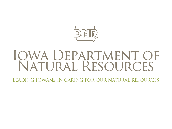

# IQWA DEPARTMENT OF<br>NATURAL RESOURCES

LEADING IOWANS IN CARING FOR OUR NATURAL RESOURCES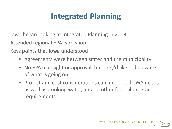Iowa began looking at Integrated Planning in 2013 Attended regional EPA workshop

Keys points that Iowa understood

- Agreements were between states and the municipality
- No EPA oversight or approval, but they'd like to be aware of what is going on
- Project and cost considerations can include all CWA needs as well as drinking water, air and other federal program requirements

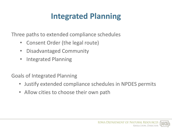Three paths to extended compliance schedules

- Consent Order (the legal route)
- Disadvantaged Community
- Integrated Planning

Goals of Integrated Planning

- Justify extended compliance schedules in NPDES permits
- Allow cities to choose their own path

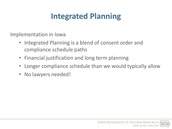Implementation in Iowa

- Integrated Planning is a blend of consent order and compliance schedule paths
- Financial justification and long term planning
- Longer compliance schedule than we would typically allow
- No lawyers needed!

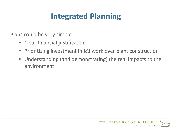Plans could be very simple

- Clear financial justification
- Prioritizing investment in I&I work over plant construction
- Understanding (and demonstrating) the real impacts to the environment

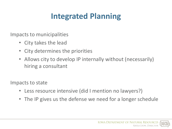Impacts to municipalities

- City takes the lead
- City determines the priorities
- Allows city to develop IP internally without (necessarily) hiring a consultant

Impacts to state

- Less resource intensive (did I mention no lawyers?)
- The IP gives us the defense we need for a longer schedule

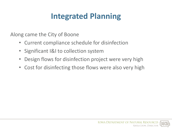Along came the City of Boone

- Current compliance schedule for disinfection
- Significant I&I to collection system
- Design flows for disinfection project were very high
- Cost for disinfecting those flows were also very high

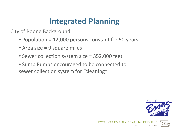City of Boone Background

- Population = 12,000 persons constant for 50 years
- Area size = 9 square miles
- Sewer collection system size = 352,000 feet
- Sump Pumps encouraged to be connected to sewer collection system for "cleaning"

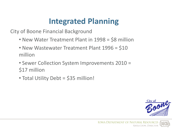City of Boone Financial Background

- New Water Treatment Plant in 1998 = \$8 million
- New Wastewater Treatment Plant 1996 = \$10 million
- Sewer Collection System Improvements 2010 = \$17 million
- Total Utility Debt = \$35 million!

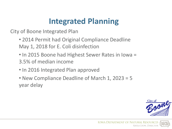City of Boone Integrated Plan

- 2014 Permit had Original Compliance Deadline May 1, 2018 for E. Coli disinfection
- In 2015 Boone had Highest Sewer Rates in Iowa = 3.5% of median income
- In 2016 Integrated Plan approved
- New Compliance Deadline of March 1, 2023 = 5 year delay